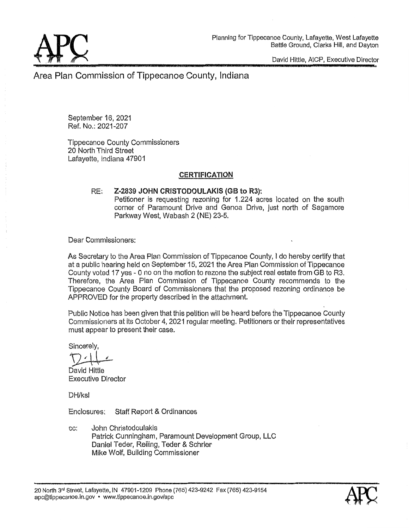

David **Hittle,** AICP. Executive **Director** 

Area Plan **Commission** of Tippecanoe **County, Indiana** 

September 16, 2021 Ref. No.: 2021~207

Tippecanoe **County Commissioners**  20 North Third **Street Lafayette, Indiana** 47901

# **CERTIFICATION**

### RE; **Z~2839 JOHN CRISTODOULAKIS** (GB to **R3): Petitioner** is **requesting** rezoning for **1.224 acres located** on the south corner of Paramount Drive and Genoa Drive, just north of Sagamore Parkway **West,** Wabash **2** (NE) 23—5.

**Dear Commissioners:** 

As Secretary to the Area Plan **Commission** of Tippecanoe County, **1** do hereby certify that at a public hearing held on Septembar15. 2021 tha Area Plan **Commission** of Tippecanoe County voted 17 yea **-** 0 no on the motion to **rezone** the **subject** real estate from GB to R3. Therefore, the Area Plan Commission of Tippecanoe County recommends to the Tippecanoe County Board of **Commissioners that** the **proposed** rezoning ordinance be APPROVED for the property described in the attachment.

**Public** Notice has been given that this petition will be heard before {he Tippecanoe County **Commissioners** at its October 4, 2021 regular meeting. Petitioners or **thair** representatives must appear to present **their case.** 

Sincerely,

*r* ' *I* 

Davld **Hittle**  Executive Director

DH/ksl'

Enclosures; Staff Report & Ordinances

cc: John **Christodoulakis Patrick** Cunningham, Paramount Development Group, LLC Daniel **Teder,** Railing, Teder & Schriar Mike Wolf, Building **Commissioner** 

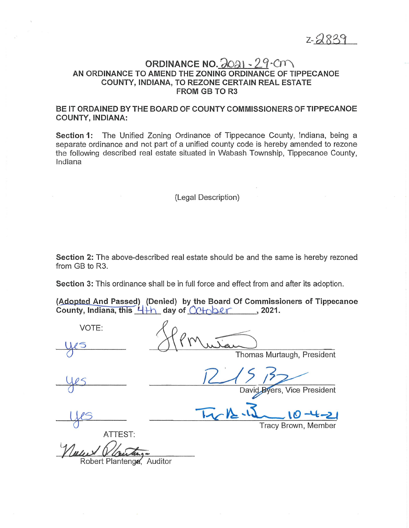Z\_ *a* 833

# ORDINANCE NO. 2931 **~** 29cm AN ORDINANCE TO AMEND THE **ZONING ORDINANCE** OF **TIPPECANOE COUNTY, INDIANA,** TO REZONE **CERTAIN** REAL ESTATE FROM GB TO R3

# BE IT ORDAINED BY THE **BOARD** OF **COUNTY** COMMISSIONERS OF **TIPPECANOE COUNTY, INDIANA:**

**Section** 1: The Unified Zoning Ordinance of Tippecanoe County, Indiana, being a separate ordinance and not **part** of a unified county code is hereby **amended** to rezone the following described real estate situated in Wabash Township, Tippecanoe County, **Indiana** 

(Legal Description)

**Section** 2: The above-described real estate should be and the same is hereby rezoned from GB to R3.

Section 3: This ordinance shall be in full force and effect from and after its adoption.

(Adopted And Passed) (Denied) by the Board Of Commissioners of Tippecanoe County, Indiana, this 4<sup>+</sup>h day of Cotober, 2021.

VOTE: Thomas **Murtaugh,** President 22/ *5* 37/ David Byers, Vice President US Mr12.4 0-4-2 Tracy Brown, Member ATTEST: Robert Plantengg, Auditor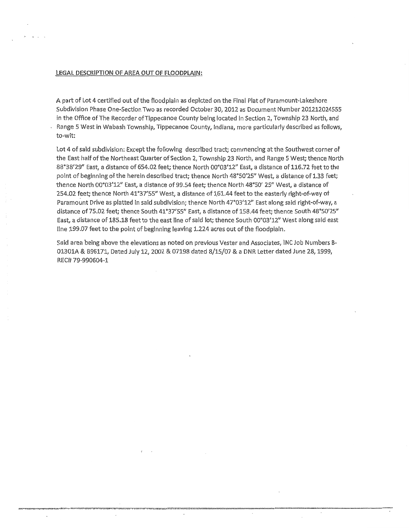#### LEGAL DESCRIPTION OF AREA OUT OF FLOODPLAIN:

A **part** of Lot 4 **certified** out of the **floodplain** as depicted on the Final Plat of ParamounbLakeshore Subdivision Phase One—Section Two as recorded October 30, 2012 as Document Number 201212024555 in the Office of The Recorder ofTippecanoe County being located in Section 2, Township 23 North, and *-* Range **5** West in Wabash Township, Tippecanoe County, Indiana, more particularly described as follows, to-wit:

Lot 4 of said subdivision: Except the following described tract; commencing at the Southwest corner of the **East** half of the Northeast Quarter of Section 2, Township 23 North, and Range **5** West; thence North *88'38'29"* East, a distance of 654.02 feet; thence North 00°03'12" East, a **distance** of 116.72 **feet** to the point of beginning 01' the herein **described tract;** thence North 48°50'25" West, *a* distance of 1.33 feet; **"thence** North 00'03'12" **East,** a distance of 99.54 feet; thence North 48°50' 25" West, **a distance** of 254.02 feet; thence North 41°37'55" West, a distance of 161.44 feet to the easterly right-of-way of Paramodnt Drive as **platted** In **said** subdivision; thence North 47°03'12" **East** along **sald** right~of~way,a **distance** of 75.02 **feet; thence** South 41'37'55" East, *a* distance of 158.44 feet; thence South 48'50'25" East, *a* distance of 185.18 feet to the east line of said 101:; thence South 00'03'12" West along **sald** east line 199.07 feet to the point of beginning leaving 1.224 acres out of the **floodplain.** 

Said area being above the elevations as noted on previous Vester and Associates, INC Job Numbers B-013'01A & 896171, Dated July 12, 2002 & **07198 dated** 8/15/07 & *a* DNR **Letter dated** June 28, 1999, REC# 79-990604-1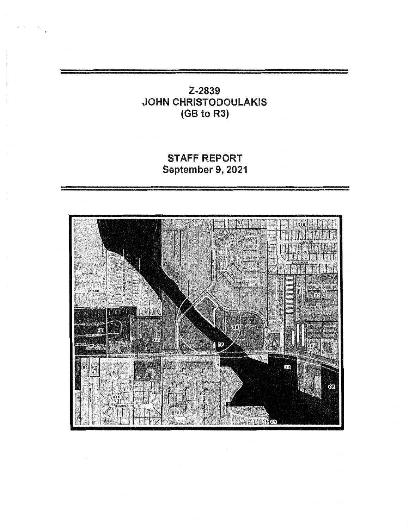# **Z-2839**  JOHN CHRISTODOULAKIS **(GB to R3)**

# STAFF REPORT **September 9,** 2021

**'F** 

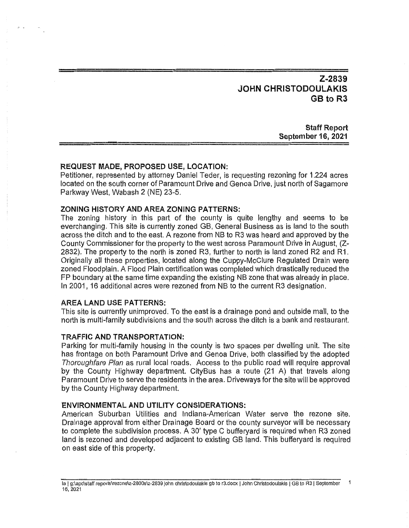# Z~2839 **JOHN** CHRISTODOULAKIS GB to R3

**Staff Report September 16, 2021** 

#### REQUEST MADE, **PROPOSED** USE, LOCATION:

Petitioner. represented by attorney Daniel Teder, Is requesting rezoning for **1.224** acres located on the south corner of Paramount Drive and Genoa Drive, just north of Sagamore Parkway West, **Wabash** 2 (NE) 23-5.

### **ZONING HISTORY** AND AREA ZONING **PATTERNS:**

The zoning history in **this** part of the county is **quite** lengthy and seems to be everchanging. This site is currently zoned GB, General Business as is land to the south across the ditch and to the east. A rezone from NB to R3 was heard and approved by the **County Commissioner** for the property to the **west across** Paramount Drive in August. (2- 2832). The property to the north is zoned R3, further to north is land zoned R2 and R1. Originally all these properties. located along the Guppy-McClure Regulated Drain were zoned Floodplain. A **Flood** Plain certification was completed which **drastically** reduced the FP boundary at the same time expanding the existing NB zone that was already in place. In 2001, 16 additional acres were rezoned from NB to the **current** R3 **designation.** 

#### AREA **LAND** USE **PATTERNS:**

**This** site is currently unimproved. To the **east** is **a** drainage pond and **outside** mall, to the **north** is **multi—family** subdivisions and the south **across** the **ditch** is a bank and restaurant.

#### **TRAFFIC:** AND TRANSPORTATION:

**Parking** for multi~family housing in the county is two spaces per dweliing **unit.** The site has frontage on both Paramount Drive and Genoa Drive, both classified by the adopted *Thoroughfare Plan* as **rural** local **roads.** Access to the **public** road will require approval by the **County** Highway department. **CityBus** has a route (21 A) that travels along Paramount Drive to serve the **residents** in the area. Driveways for the site will be approved by the County Highway **department.** 

#### ENVIRONMENTAL AND **UTILITY** CONSIDERATIONS:

American Suburban Utilities and Indiana-American Water serve the rezone **site.**  Drainage approval from either Drainage Board or the **county** surveyor will be necessary to complete the subdivision **process.** A 30' **type C** bufferyard is required when R3 zoned **land** is rezoned and developed adjacent to **existing** GB land. This bufferyard is required on **east side** of this property.

la **] g:\apc\staff reports\rezone\z-28003\z—2839** John **chrlslodoulakis** gb to **r3.docx** *|* **John Chrlstodoulakls** *|* (38 to R3 *|* September **1**  16, 2021'